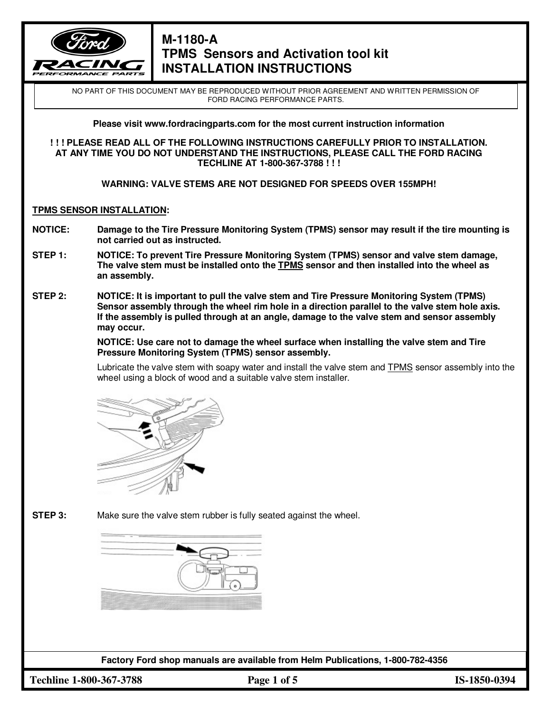

NO PART OF THIS DOCUMENT MAY BE REPRODUCED WITHOUT PRIOR AGREEMENT AND WRITTEN PERMISSION OF FORD RACING PERFORMANCE PARTS.

**Please visit www.fordracingparts.com for the most current instruction information** 

**! ! ! PLEASE READ ALL OF THE FOLLOWING INSTRUCTIONS CAREFULLY PRIOR TO INSTALLATION. AT ANY TIME YOU DO NOT UNDERSTAND THE INSTRUCTIONS, PLEASE CALL THE FORD RACING TECHLINE AT 1-800-367-3788 ! ! !** 

**WARNING: VALVE STEMS ARE NOT DESIGNED FOR SPEEDS OVER 155MPH!** 

### **TPMS SENSOR INSTALLATION:**

- **NOTICE: Damage to the Tire Pressure Monitoring System (TPMS) sensor may result if the tire mounting is not carried out as instructed.**
- **STEP 1: NOTICE: To prevent Tire Pressure Monitoring System (TPMS) sensor and valve stem damage, The valve stem must be installed onto the TPMS sensor and then installed into the wheel as an assembly.**
- **STEP 2: NOTICE: It is important to pull the valve stem and Tire Pressure Monitoring System (TPMS) Sensor assembly through the wheel rim hole in a direction parallel to the valve stem hole axis. If the assembly is pulled through at an angle, damage to the valve stem and sensor assembly may occur.**

 **NOTICE: Use care not to damage the wheel surface when installing the valve stem and Tire Pressure Monitoring System (TPMS) sensor assembly.**

 Lubricate the valve stem with soapy water and install the valve stem and TPMS sensor assembly into the wheel using a block of wood and a suitable valve stem installer.



**STEP 3:** Make sure the valve stem rubber is fully seated against the wheel.

**Factory Ford shop manuals are available from Helm Publications, 1-800-782-4356** 

**Techline 1-800-367-3788 Page 1 of 5 IS-1850-0394**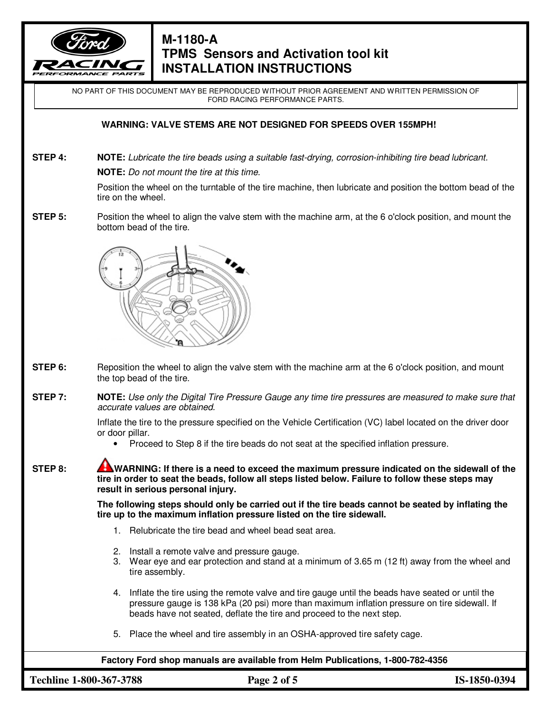

NO PART OF THIS DOCUMENT MAY BE REPRODUCED WITHOUT PRIOR AGREEMENT AND WRITTEN PERMISSION OF FORD RACING PERFORMANCE PARTS.

### **WARNING: VALVE STEMS ARE NOT DESIGNED FOR SPEEDS OVER 155MPH!**

**STEP 4:** NOTE: Lubricate the tire beads using a suitable fast-drying, corrosion-inhibiting tire bead lubricant.  **NOTE:** Do not mount the tire at this time.

> Position the wheel on the turntable of the tire machine, then lubricate and position the bottom bead of the tire on the wheel.

**STEP 5:** Position the wheel to align the valve stem with the machine arm, at the 6 o'clock position, and mount the bottom bead of the tire.



- **STEP 6:** Reposition the wheel to align the valve stem with the machine arm at the 6 o'clock position, and mount the top bead of the tire.
- **STEP 7:** NOTE: Use only the Digital Tire Pressure Gauge any time tire pressures are measured to make sure that accurate values are obtained.

 Inflate the tire to the pressure specified on the Vehicle Certification (VC) label located on the driver door or door pillar.

• Proceed to Step 8 if the tire beads do not seat at the specified inflation pressure.

**STEP 8:** WARNING: If there is a need to exceed the maximum pressure indicated on the sidewall of the  **tire in order to seat the beads, follow all steps listed below. Failure to follow these steps may result in serious personal injury.** 

> **The following steps should only be carried out if the tire beads cannot be seated by inflating the tire up to the maximum inflation pressure listed on the tire sidewall.**

- 1. Relubricate the tire bead and wheel bead seat area.
- 2. Install a remote valve and pressure gauge.
- 3. Wear eye and ear protection and stand at a minimum of 3.65 m (12 ft) away from the wheel and tire assembly.
- 4. Inflate the tire using the remote valve and tire gauge until the beads have seated or until the pressure gauge is 138 kPa (20 psi) more than maximum inflation pressure on tire sidewall. If beads have not seated, deflate the tire and proceed to the next step.
- 5. Place the wheel and tire assembly in an OSHA-approved tire safety cage.

**Factory Ford shop manuals are available from Helm Publications, 1-800-782-4356** 

**Techline 1-800-367-3788 Page 2 of 5 IS-1850-0394**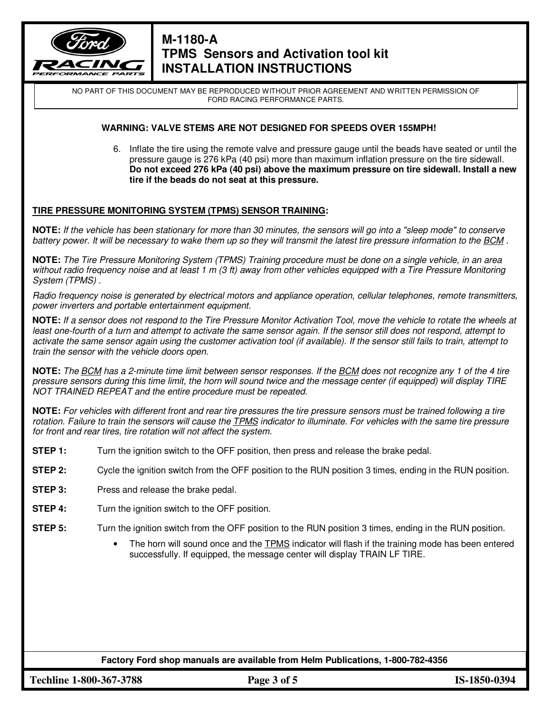

NO PART OF THIS DOCUMENT MAY BE REPRODUCED WITHOUT PRIOR AGREEMENT AND WRITTEN PERMISSION OF FORD RACING PERFORMANCE PARTS.

### **WARNING: VALVE STEMS ARE NOT DESIGNED FOR SPEEDS OVER 155MPH!**

6. Inflate the tire using the remote valve and pressure gauge until the beads have seated or until the pressure gauge is 276 kPa (40 psi) more than maximum inflation pressure on the tire sidewall. **Do not exceed 276 kPa (40 psi) above the maximum pressure on tire sidewall. Install a new tire if the beads do not seat at this pressure.**

### **TIRE PRESSURE MONITORING SYSTEM (TPMS) SENSOR TRAINING:**

**NOTE:** If the vehicle has been stationary for more than 30 minutes, the sensors will go into a "sleep mode" to conserve battery power. It will be necessary to wake them up so they will transmit the latest tire pressure information to the BCM.

**NOTE:** The Tire Pressure Monitoring System (TPMS) Training procedure must be done on a single vehicle, in an area without radio frequency noise and at least 1 m (3 ft) away from other vehicles equipped with a Tire Pressure Monitoring System (TPMS) .

Radio frequency noise is generated by electrical motors and appliance operation, cellular telephones, remote transmitters, power inverters and portable entertainment equipment.

**NOTE:** If a sensor does not respond to the Tire Pressure Monitor Activation Tool, move the vehicle to rotate the wheels at least one-fourth of a turn and attempt to activate the same sensor again. If the sensor still does not respond, attempt to activate the same sensor again using the customer activation tool (if available). If the sensor still fails to train, attempt to train the sensor with the vehicle doors open.

**NOTE:** The BCM has a 2-minute time limit between sensor responses. If the BCM does not recognize any 1 of the 4 tire pressure sensors during this time limit, the horn will sound twice and the message center (if equipped) will display TIRE NOT TRAINED REPEAT and the entire procedure must be repeated.

**NOTE:** For vehicles with different front and rear tire pressures the tire pressure sensors must be trained following a tire rotation. Failure to train the sensors will cause the TPMS indicator to illuminate. For vehicles with the same tire pressure for front and rear tires, tire rotation will not affect the system.

- **STEP 1:** Turn the ignition switch to the OFF position, then press and release the brake pedal.
- **STEP 2:** Cycle the ignition switch from the OFF position to the RUN position 3 times, ending in the RUN position.
- **STEP 3:** Press and release the brake pedal.
- **STEP 4:** Turn the ignition switch to the OFF position.
- **STEP 5:** Turn the ignition switch from the OFF position to the RUN position 3 times, ending in the RUN position.
	- The horn will sound once and the TPMS indicator will flash if the training mode has been entered successfully. If equipped, the message center will display TRAIN LF TIRE.

**Factory Ford shop manuals are available from Helm Publications, 1-800-782-4356** 

**Techline 1-800-367-3788 Page 3 of 5 IS-1850-0394**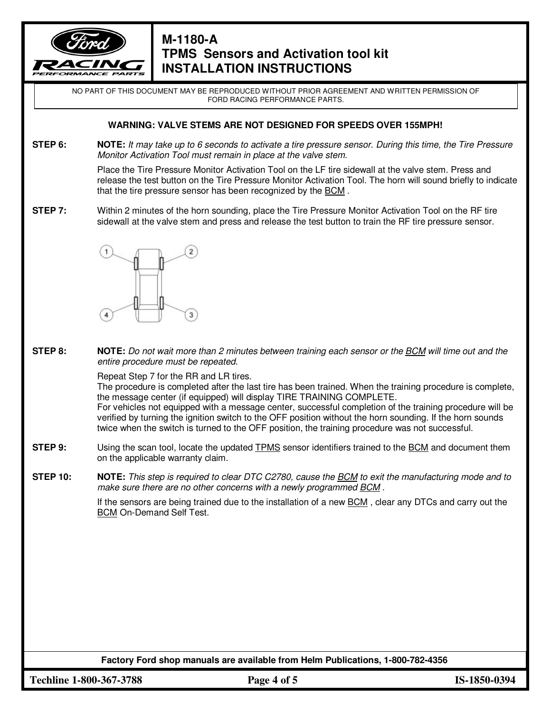

NO PART OF THIS DOCUMENT MAY BE REPRODUCED WITHOUT PRIOR AGREEMENT AND WRITTEN PERMISSION OF FORD RACING PERFORMANCE PARTS.

### **WARNING: VALVE STEMS ARE NOT DESIGNED FOR SPEEDS OVER 155MPH!**

**STEP 6: NOTE:** It may take up to 6 seconds to activate a tire pressure sensor. During this time, the Tire Pressure Monitor Activation Tool must remain in place at the valve stem.

> Place the Tire Pressure Monitor Activation Tool on the LF tire sidewall at the valve stem. Press and release the test button on the Tire Pressure Monitor Activation Tool. The horn will sound briefly to indicate that the tire pressure sensor has been recognized by the BCM .

**STEP 7:** Within 2 minutes of the horn sounding, place the Tire Pressure Monitor Activation Tool on the RF tire sidewall at the valve stem and press and release the test button to train the RF tire pressure sensor.



**STEP 8: NOTE:** Do not wait more than 2 minutes between training each sensor or the BCM will time out and the entire procedure must be repeated.

Repeat Step 7 for the RR and LR tires.

The procedure is completed after the last tire has been trained. When the training procedure is complete, the message center (if equipped) will display TIRE TRAINING COMPLETE.

 For vehicles not equipped with a message center, successful completion of the training procedure will be verified by turning the ignition switch to the OFF position without the horn sounding. If the horn sounds twice when the switch is turned to the OFF position, the training procedure was not successful.

**STEP 9:** Using the scan tool, locate the updated TPMS sensor identifiers trained to the BCM and document them on the applicable warranty claim.

**STEP 10: NOTE:** This step is required to clear DTC C2780, cause the BCM to exit the manufacturing mode and to make sure there are no other concerns with a newly programmed BCM .

> If the sensors are being trained due to the installation of a new BCM , clear any DTCs and carry out the BCM On-Demand Self Test.

**Factory Ford shop manuals are available from Helm Publications, 1-800-782-4356** 

**Techline 1-800-367-3788 Page 4 of 5 IS-1850-0394**